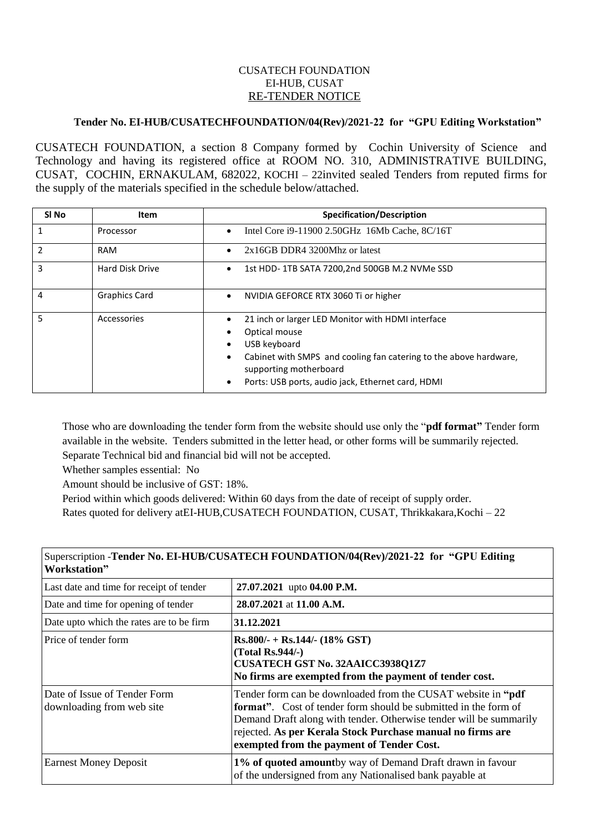## CUSATECH FOUNDATION EI-HUB, CUSAT RE-TENDER NOTICE

## **Tender No. EI-HUB/CUSATECHFOUNDATION/04(Rev)/2021-22 for "GPU Editing Workstation"**

CUSATECH FOUNDATION, a section 8 Company formed by Cochin University of Science and Technology and having its registered office at ROOM NO. 310, ADMINISTRATIVE BUILDING, CUSAT, COCHIN, ERNAKULAM, 682022, KOCHI – 22invited sealed Tenders from reputed firms for the supply of the materials specified in the schedule below/attached.

| SI No         | Item                 | <b>Specification/Description</b>                                                                                                                                                                                                                                                   |
|---------------|----------------------|------------------------------------------------------------------------------------------------------------------------------------------------------------------------------------------------------------------------------------------------------------------------------------|
|               | Processor            | Intel Core i9-11900 2.50GHz 16Mb Cache, 8C/16T<br>$\bullet$                                                                                                                                                                                                                        |
| $\mathfrak z$ | RAM                  | $2x16GB$ DDR4 3200Mhz or latest<br>$\bullet$                                                                                                                                                                                                                                       |
| 3             | Hard Disk Drive      | 1st HDD-1TB SATA 7200,2nd 500GB M.2 NVMe SSD<br>$\bullet$                                                                                                                                                                                                                          |
| 4             | <b>Graphics Card</b> | NVIDIA GEFORCE RTX 3060 Ti or higher<br>$\bullet$                                                                                                                                                                                                                                  |
| 5             | Accessories          | 21 inch or larger LED Monitor with HDMI interface<br>$\bullet$<br>Optical mouse<br>USB keyboard<br>$\bullet$<br>Cabinet with SMPS and cooling fan catering to the above hardware,<br>٠<br>supporting motherboard<br>Ports: USB ports, audio jack, Ethernet card, HDMI<br>$\bullet$ |

Those who are downloading the tender form from the website should use only the "**pdf format"** Tender form available in the website. Tenders submitted in the letter head, or other forms will be summarily rejected. Separate Technical bid and financial bid will not be accepted.

Whether samples essential: No

Amount should be inclusive of GST: 18%.

Period within which goods delivered: Within 60 days from the date of receipt of supply order. Rates quoted for delivery atEI-HUB,CUSATECH FOUNDATION, CUSAT, Thrikkakara,Kochi – 22

| Workstation"                                              |                                                                                                                                                                                                                                                                                                                           |  |
|-----------------------------------------------------------|---------------------------------------------------------------------------------------------------------------------------------------------------------------------------------------------------------------------------------------------------------------------------------------------------------------------------|--|
| Last date and time for receipt of tender                  | 27.07.2021 upto 04.00 P.M.                                                                                                                                                                                                                                                                                                |  |
| Date and time for opening of tender                       | 28.07.2021 at 11.00 A.M.                                                                                                                                                                                                                                                                                                  |  |
| Date upto which the rates are to be firm                  | 31.12.2021                                                                                                                                                                                                                                                                                                                |  |
| Price of tender form                                      | $Rs.800/- + Rs.144/- (18\% GST)$<br>$(Total Rs.944/-)$<br>CUSATECH GST No. 32AAICC3938Q1Z7<br>No firms are exempted from the payment of tender cost.                                                                                                                                                                      |  |
| Date of Issue of Tender Form<br>downloading from web site | Tender form can be downloaded from the CUSAT website in "pdf"<br><b>format</b> ". Cost of tender form should be submitted in the form of<br>Demand Draft along with tender. Otherwise tender will be summarily<br>rejected. As per Kerala Stock Purchase manual no firms are<br>exempted from the payment of Tender Cost. |  |
| <b>Earnest Money Deposit</b>                              | 1% of quoted amountby way of Demand Draft drawn in favour<br>of the undersigned from any Nationalised bank payable at                                                                                                                                                                                                     |  |

## Superscription -**Tender No. EI-HUB/CUSATECH FOUNDATION/04(Rev)/2021-22 for "GPU Editing**